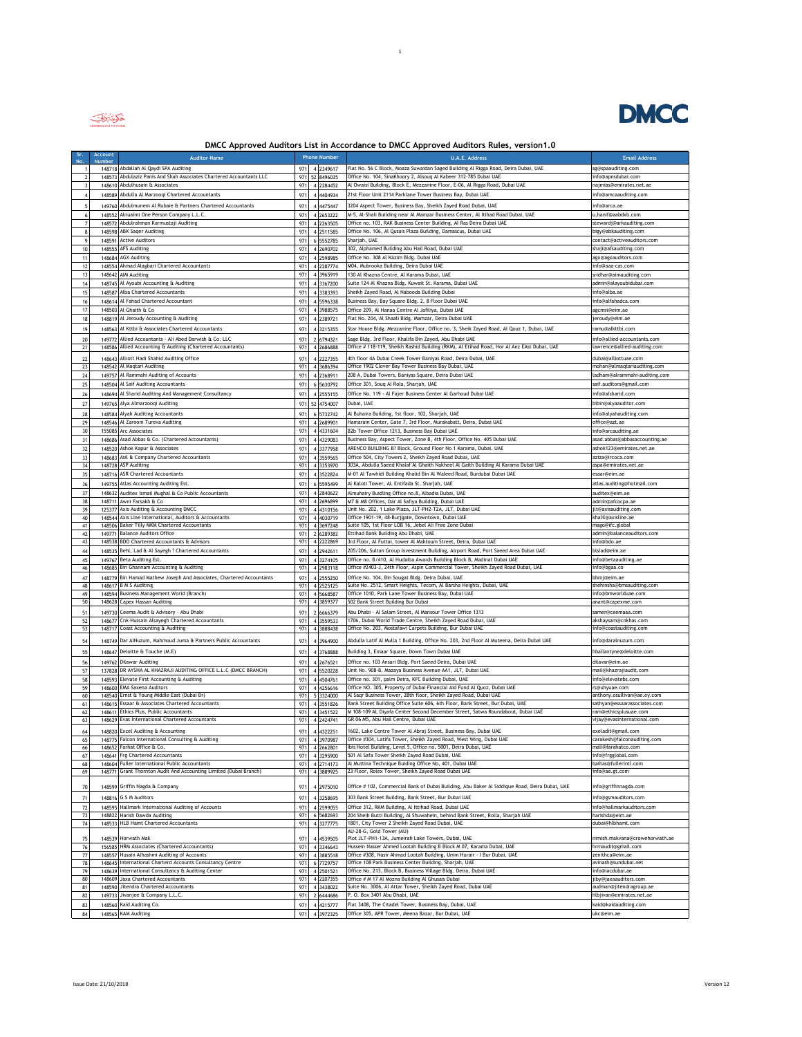

## **DMCC Approved Auditors List in Accordance to DMCC Approved Auditors Rules, version1.0**

 $\mathbf{1}^{\top}$ 

| Sr.<br>No               | Account | <b>Auditor Name</b>                                                                            |            | <b>Phone Number</b>                 | <b>U.A.E. Address</b>                                                                                                                                           | <b>Email Address</b>                                  |
|-------------------------|---------|------------------------------------------------------------------------------------------------|------------|-------------------------------------|-----------------------------------------------------------------------------------------------------------------------------------------------------------------|-------------------------------------------------------|
|                         |         | 148718 Abdallah Al Qaydi SPA Auditing                                                          | 971        | 4 2349617                           | Flat No. 56 C Block, Moaza Suwaidan Saged Building Al Rigga Road, Deira Dubai, UAE                                                                              | sg@spaauditing.com                                    |
| $\overline{2}$          | 148573  | Abdulaziz Panis And Shah Associates Chartered Accountants LLC                                  | 971        | 52<br>8496035                       | Office No. 104, SinaKhoory 2, Alsouq Al Kabeer 312-785 Dubai UAE                                                                                                | info@apnsdubai.com                                    |
| $\overline{\mathbf{3}}$ |         | 148610 Abdulhusain & Associates                                                                | 971        | 4 2284452                           | Al Owaisi Building, Block E, Mezzanine Floor, E-06, Al Rigga Road, Dubai UAE                                                                                    | najmias@emirates.net.ae                               |
| 4                       |         | 148589 Abdulla Al Marzoogi Chartered Accountants                                               | 971        | 4 4404934                           | 21st Floor Unit 2114 Parklane Tower Business Bay, Dubai UAE                                                                                                     | info@amcaauditing.com                                 |
| 5                       |         | 149760 Abdulmunem Al Rubaie & Partners Chartered Accountants                                   | 971        | $\overline{4}$<br>4475447           | 3204 Aspect Tower, Business Bay, Sheikh Zayed Road Dubai, UAE                                                                                                   | info@arca.ae                                          |
| $\boldsymbol{6}$        |         | 148552 Alnuaimi One Person Company L.L.C.                                                      | 971        | 4 2653222                           | M-5, Al-Shali Building near Al Mamzar Business Center, Al Itihad Road Dubai, UAE                                                                                | u.hanif@aabdxb.com                                    |
| $\boldsymbol{7}$        |         | 148572 Abdulrahman Karmustaji Auditing                                                         | 971        | 4 2263505                           | Office no. 103, RAK Business Center Building, Al Ras Deira Dubai UAE                                                                                            | stewardj@arkauditing.com                              |
| 8                       |         | 148598 ABK Sager Auditing                                                                      | 971        | 4 2511585                           | Office No. 106, Al Qusais Plaza Building, Damascus, Dubai UAE                                                                                                   | bigy@abkauditing.com                                  |
| $\mathbf{q}$            |         | 148591 Active Auditors                                                                         | 971        | 6 5552785                           | Sharjah, UAE                                                                                                                                                    | contact@activeauditors.com                            |
| 10                      |         | 148555 AFS Auditing                                                                            | 971        | 4 2690702                           | 302, Alphamed Building Abu Hail Road, Dubai UAE                                                                                                                 | shaji@afsauditing.com                                 |
| 11                      |         | 148684 AGX Auditing                                                                            | 971        | 4 2598985                           | Office No. 308 Al Kazim Bldg. Dubai UAE                                                                                                                         | agx@agxauditors.com                                   |
| 12                      |         | 148554 Ahmad Alagbari Chartered Accountants                                                    | 971        | 4 2287774                           | M04, Mubrooka Building, Deira Dubai UAE                                                                                                                         | info@aaa-cas.com                                      |
| 13                      |         | 148642 AIM Auditing<br>148745 Al Ayoubi Accounting & Auditing                                  | 971        | 4 3965919<br>4 3367200              | 130 Al Khazna Centre, Al Karama Dubai, UAE<br>Suite 124 Al Khazna Bldg. Kuwait St. Karama, Dubai UAE                                                            | sridhar@aimauditing.com<br>admin@alayoubidubai.com    |
| 14                      |         | 148587 Alba Chartered Accountants                                                              | 971<br>971 |                                     | Sheikh Zayed Road, Al Nabooda Building Dubai                                                                                                                    | info@alba.ae                                          |
| 15<br>16                |         | 148614 Al Fahad Chartered Accountant                                                           | 971        | 4 3383393<br>4 5596338              | Business Bay, Bay Square Bldg. 2, 8 Floor Dubai UAE                                                                                                             | info@alfahadca.com                                    |
| 17                      |         | 148503 Al Ghaith & Co                                                                          | 971        | 4 3988575                           | Office 209, Al Hanaa Centre Al Jafiliya, Dubai UAE                                                                                                              | agcmsi@eim.ae                                         |
| 18                      |         | 148819 Al Jeroudy Accounting & Auditing                                                        | 971        | 4 2389721                           | Flat No. 204, Al Shaali Bldg. Mamzar, Deira Dubai UAE                                                                                                           | jeroudy@eim.ae                                        |
| 19                      |         | 148563 Al Kttbi & Associates Chartered Accountants                                             | 971        | 4 3215355                           | Star House Bldg. Mezzanine Floor, Office no. 3, Sheik Zayed Road, Al Qouz 1, Dubai, UAE                                                                         | ramu@alkttbi.com                                      |
|                         |         |                                                                                                |            |                                     |                                                                                                                                                                 |                                                       |
| 20                      | 149772  | Allied Accountants - Ali Abed Darwish & Co. LLC                                                | 971        | $\overline{\phantom{a}}$<br>6794321 | Sage Bldg. 3rd Floor, Khalifa Bin Zayed, Abu Dhabi UAE                                                                                                          | info@allied-accountants.com                           |
| 21                      |         | 148586 Allied Accounting & Auditing (Chartered Accountants)                                    | 971        | 2686888                             | Office # 118-119, Sheikh Rashid Building (RKM), Al Etihad Road, Hor Al Anz EAst Dubai, UAE                                                                      | lawrence@allied-auditing.com                          |
| 22                      | 148643  | Alliott Hadi Shahid Auditing Office                                                            | 971        | 2227355<br>$\overline{4}$           | 4th floor 4A Dubai Creek Tower Baniyas Road, Deira Dubai, UAE                                                                                                   | dubai@alliottuae.com                                  |
| 23                      |         | 148542 Al Maqtari Auditing                                                                     | 971        | 4 3686394                           | Office 1902 Clover Bay Tower Business Bay Dubai, UAE                                                                                                            | mohan@almaqtariauditing.com                           |
| 24                      | 149757  | Al Rammahi Auditing of Accounts                                                                | 971        | 4 2368911                           | 208 A, Dubai Towers, Baniyas Square, Deira Dubai UAE                                                                                                            | ladham@alrammahi-auditing.com                         |
| 25                      |         | 148504 Al Saif Auditing Accountants                                                            | 971        | 6 5630792                           | Office 301, Souq Al Rola, Sharjah, UAE                                                                                                                          | saif.auditors@gmail.com                               |
| 26                      | 148694  | Al Sharid Auditing And Management Consultancy                                                  | 971        | 2555155<br>$\overline{4}$           | Office No. 119 - Al Fajer Business Center Al Garhoud Dubai UAE                                                                                                  | info@alsharid.com                                     |
| $27$                    |         | 149765 Alya Almarzooqi Auditing                                                                | 971        | 52 4754007                          | Dubai, UAE                                                                                                                                                      | bibin@alyaauditor.com                                 |
| 28                      | 148584  | Alyah Auditing Accountants                                                                     | 971        | 6<br>5732742                        | Al Buhaira Building, 1st floor, 102, Sharjah, UAE                                                                                                               | info@alyahauditing.com                                |
| 29                      |         | 148546 Al Zarooni Tureva Auditing                                                              | 971        | 4 2689901                           | Hamarain Center, Gate 7, 3rd Floor, Murakabatt, Deira, Dubai UAE                                                                                                | office@azt.ae                                         |
| 30                      |         | 155085 Arc Associates                                                                          | 971        | 4 4331604                           | B2b Tower Office 1213, Business Bay Dubai UAE                                                                                                                   | info@arcauditing.ae                                   |
| 31                      | 148686  | Asad Abbas & Co. (Chartered Accountants)                                                       | 971        | 4 4329083                           | Business Bay, Aspect Tower, Zone B, 4th Floor, Office No. 405 Dubai UAE                                                                                         | asad.abbas@abbasaccounting.ae                         |
| 32                      |         | 148520 Ashok Kapur & Associates                                                                | 971        | 4 3377958                           | ARENCO BUILDING B? Block, Ground Floor No 1 Karama, Dubai. UAE                                                                                                  | ashok123@emirates.net.ae<br>aziza@ircoca.com          |
| 33<br>34                | 148683  | Asil & Company Chartered Accountants<br>148728 ASP Auditing                                    | 971<br>971 | 4 3559565<br>4 3353970              | Office 504, City Towers 2, Sheikh Zayed Road Dubai, UAE<br>303A, Abdulla Saeed Khalaf Al Ghaith Nakheel Al Gaith Building Al Karama Dubai UAE                   | aspa@emirates.net.ae                                  |
| 35                      |         | 148716 ASR Chartered Accountants                                                               | 971        | 4 3522824                           | M-01 Al Tawhidi Building Khalid Bin Al Waleed Road, Burdubai Dubai UAE                                                                                          | esaar@eim.ae                                          |
|                         |         |                                                                                                |            |                                     |                                                                                                                                                                 |                                                       |
| 36                      |         | 149755 Atlas Accounting Auditing Est                                                           | 971        | 6 5595499                           | Al Kaloti Tower, AL Entifada St. Sharjah, UAE<br>Almuhairy Buidling Office no.8, Albadia Dubai, UAE                                                             | atlas.auditing@hotmail.com<br>auditex@eim.ae          |
| 37<br>38                |         | 148632 Auditex Ismail Mughal & Co Public Accountants<br>148711 Awni Farsakh & Co               | 971<br>971 | 4 2840622<br>4 2696899              | M7 & M8 Offices, Dar Al Safiya Building, Dubai UAE                                                                                                              | admin@afcocpa.ae                                      |
| 39                      |         | 125377 Axis Auditing & Accounting DMCC                                                         | 971        | 4 4310156                           | Unit No. 202, 1 Lake Plaza, JLT-PH2-T2A, JLT, Dubai UAE                                                                                                         | ilt@axisauditing.com                                  |
| 40                      |         | 148544 Axis Line International, Auditors & Accountants                                         | 971        | 4 4030719                           | Office 1901-19, 48-Burjgate, Downtown, Dubai UAE                                                                                                                | khalil@axisline.ae                                    |
| 41                      |         | 148506 Baker Tilly MKM Chartered Accountants                                                   | 971        | 4 3697248                           | Suite 105, 1st Floor LOB 16, Jebel Ali Free Zone Dubai                                                                                                          | mago@ifc.global                                       |
| 42                      |         | 149771 Balance Auditors Office                                                                 | 971        | 2 6289382                           | Ettihad Bank Building Abu Dhabi, UAE                                                                                                                            | admin@balanceauditors.com                             |
| 43                      |         | 148538 BDO Chartered Accountants & Advisors                                                    | 971        | 4 2222869                           | 3rd Floor, Al Futtai, tower Al Maktoum Street, Deira, Dubai UAE                                                                                                 | info@bdo.ae                                           |
| 44                      |         | 148535 Behl, Lad & Al Sayegh ? Chartered Accountants                                           | 971        | 4 2942611                           | 205/206, Sultan Group Investment Building, Airport Road, Port Saeed Area Dubai UAE                                                                              | blslad@eim.ae                                         |
| 45                      |         | 149767 Beta Auditing Est.                                                                      | 971        | 4 3274105                           | Office no. B/410, Al Hudaiba Awards Building Block B, Madinat Dubai UAE                                                                                         | info@betaauditing.ae                                  |
| 46                      |         | 148685 Bin Ghannam Accounting & Auditing                                                       | 971        | 4 2983118                           | Office #2403-J, 24th Floor, Aspin Commercial Tower, Sheikh Zayed Road Dubai, UAE                                                                                | info@bgaa.co                                          |
| 47                      |         | 148779 Bin Hamad Mathew Joseph And Associates, Chartered Accountants                           | 971        | $\overline{4}$<br>2555250           | Office No. 104, Bin Sougat Bldg. Deira Dubai, UAE                                                                                                               | bhmi@eim.ae                                           |
| 48                      |         | 148617 B M S Auditing                                                                          | 971        | 4 2525125                           | Suite No. 2512, Smart Heights, Tecom, Al Barsha Heights, Dubai, UAE                                                                                             | shehinsha@bmsauditing.com                             |
| 49                      |         | 148594 Business Management World (Branch)<br>148628 Capex Hassan Auditing                      | 971        | 4 5668587                           | Office 1010, Park Lane Tower Business Bay, Dubai UAE<br>502 Bank Street Building Bur Dubai                                                                      | info@bmworlduae.com<br>anant@capexme.com              |
| 50                      |         |                                                                                                | 971        | 4 3859377                           |                                                                                                                                                                 |                                                       |
| 51                      |         | 149730 Ceema Audit & Advisory - Abu Dhabi<br>148677 Cnk Hussain Alsayegh Chartered Accountants | 971        | 2 6666379                           | Abu Dhabi - Al Salam Street, Al Mansour Tower Office 1313<br>1706, Dubai World Trade Centre, Sheikh Zayed Road Dubai, UAE                                       | samer@ceemaaa.com<br>akshaysam@cnkhas.com             |
| 52<br>53                |         | 148717 Coast Accounting & Auditing                                                             | 971<br>971 | 4 3559533<br>4 3888438              | Office No. 203, Mostafawi Carpets Building, Bur Dubai UAE                                                                                                       | info@coastauditing.com                                |
|                         |         |                                                                                                |            |                                     |                                                                                                                                                                 |                                                       |
| 54                      |         | 148749 Dar AlNuzum, Mahmoud Juma & Partners Public Accountants                                 | 971        | $\overline{4}$<br>3964900           | Abdulla Latif Al Mulla 1 Building, Office No. 203, 2nd Floor Al Muteena, Deira Dubai UAE                                                                        | info@daralnuzum.com                                   |
| 55                      |         | 148647 Deloitte & Touche (M.E)                                                                 | 971        | 4 3768888                           | Building 3, Emaar Square, Down Town Dubai UAE                                                                                                                   | hballantyne@deloitte.com                              |
| 56                      |         | 149762 Dilawar Auditing                                                                        | 971        | $\overline{4}$<br>2676521           | Office no. 103 Ansari Bldg. Port Saeed Deira, Dubai UAE                                                                                                         | dilavar@eim.ae                                        |
| 57                      |         | 137828 DR AYSHA AL KHAZRAJI AUDITING OFFICE L.L.C (DMCC BRANCH)                                | 971        | 4 5520228                           | Unit No. 908-B. Mazaya Business Avenue AA1, JLT, Dubai UAE                                                                                                      | mail@khazraiiaudit.com                                |
| 58                      |         | 148593 Elevate First Accounting & Auditing                                                     | 971        | 4 4504761                           | Office no. 301, palm Deira, KFC Building Dubai, UAE                                                                                                             | info@elevatebs.com                                    |
| 59                      |         | 148600 EMA Saxena Auditors                                                                     | 971        | 4 4256616                           | Office NO. 305, Property of Dubai Financial Aid Fund Al Quoz, Dubai UAE                                                                                         | rs@uhyuae.com                                         |
| 60                      |         | 148540 Ernst & Young Middle East (Dubai Br)                                                    | 971        | 5 3324000                           | Al Saqr Business Tower, 28th floor, Sheikh Zayed Road, Dubai UAE                                                                                                | anthony.osullivan@ae.ey.com                           |
| 61                      |         | 148615 Essaar & Associates Chartered Accountants<br>148611 Ethics Plus, Public Accountants     | 971<br>971 | 4 3551826<br>4 3451522              | Bank Street Building Office Suite 606, 6th Floor, Bank Street, Bur Dubai, UAE<br>M 108-109 AL Diyafa Center Second December Street, Satwa Roundabout, Dubai UAE | sathyan@essaarassociates.com<br>ram@ethicsplusuae.com |
| 62<br>63                |         | 148629 Evas International Chartered Accountants                                                | 971        | 4 2424741                           | GR 06 M5, Abu Hail Centre, Dubai UAE                                                                                                                            | vijay@evasinternational.com                           |
|                         |         |                                                                                                |            |                                     |                                                                                                                                                                 |                                                       |
| 64                      |         | 148820 Excel Auditing & Accounting<br>Falcon International Consulting & Auditing               | 971<br>971 | 4322251<br>$\overline{4}$           | 1602, Lake Centre Tower Al Abraj Street, Business Bay, Dubai UAE<br>Office #304, Latifa Tower, Sheikh Zayed Road, West Wing,                                    | exeladit@gmail.com                                    |
| 65<br>66                | 148775  | 148652 Farhat Office & Co.                                                                     | 971        | 3970987<br>4 2662801                | Ibis Hotel Building, Level 5, Office no. 5001, Deira Dubai, UAE                                                                                                 | mali@farahatco.com                                    |
| 67                      |         | 148641 Frg Chartered Accountants                                                               | 971        | 4 3295900                           | 501 Al Safa Tower Sheikh Zayed Road Dubai, UAE                                                                                                                  | info@frgglobal.com                                    |
| 68                      |         | 148604 Fuller International Public Accountants                                                 | 971        | 4 2714173                           | Al Muttina Technique Buiding Office No, 401, Dubai UAE                                                                                                          | baihas@fullerintl.com                                 |
| 69                      |         | 148771 Grant Thornton Audit And Accounting Limited (Dubai Branch)                              | 971        | 4 3889925                           | 23 Floor, Rolex Tower, Sheikh Zayed Road Dubai UAE                                                                                                              | info@ae.gt.com                                        |
|                         |         |                                                                                                |            |                                     |                                                                                                                                                                 |                                                       |
| 70                      |         | 148599 Griffin Nagda & Company                                                                 | 971        | 4 2975010                           | Office # 102, Commercial Bank of Dubai Building, Abu Baker Al Siddique Road, Deira Dubai, UAE                                                                   | info@griffinnagda.com                                 |
| 71                      |         | 148816 G S M Auditors                                                                          | 971        | 4 3258695                           | 303 Bank Street Building, Bank Street, Bur Dubai UAE                                                                                                            | info@gsmauditors.com                                  |
| 72                      | 148595  | Hallmark International Auditing of Accounts                                                    | 971        | 4 2599055                           | Office 312, RKM Building, Al Ittihad Road, Dubai UAE                                                                                                            | info@hallmarkauditors.com                             |
| 73                      | 148822  | Harish Dawda Auditing                                                                          | 971        | 6 5682693                           | 204 Sheih Butti Building, Al Shuwahein, behind Bank Street, Rolla, Sharjah UAE                                                                                  | harishda@eim.ae                                       |
| $74\,$                  |         | 148533 HLB Hamt Chartered Accountants                                                          | 971        | 4 3277775                           | 1801, City Tower 2 Sheikh Zayed Road Dubai, UAE<br>AU-28-G, Gold Tower (AU)                                                                                     | dubai@hlbhamt.com                                     |
| 75                      |         | 148539 Horwath Mak                                                                             | 971        | 44539505                            | Plot JLT-PH1-13A, Jumeirah Lake Towers, Dubai, UAE                                                                                                              | nimish.makvana@crowehorwath.ae                        |
| 76                      |         | 156585 HRM Associates (Chartered Accountants)                                                  | 971        | 4 3346643                           | Hussein Nasser Ahmed Lootah Building B Block M 07, Karama Dubai, UAE                                                                                            | hrmaudit@gmail.com                                    |
| $77\,$                  |         | 148557 Husain Alhashmi Auditing of Accounts                                                    | 971        | 4 3885518                           | Office #308, Nasir Ahmad Lootah Building, Umm Hurair - I Bur Dubai, UAE                                                                                         | zenithca@eim.ae                                       |
| 78                      | 148645  | International Charterd Accounts Consultancy Centre                                             | 971        | 6 7729757                           | Office 108 Park Business Center Building, Sharjah, UAE                                                                                                          | avinash@sundubai.net                                  |
| 79                      |         | 148639 International Consultancy & Auditing Center                                             | 971        | 4 2501521                           | Office No. 213, Block B, Business Village Bldg. Deira, Dubai UAE                                                                                                | info@iacdubai.ae                                      |
| 80                      |         | 148609 Jaxa Chartered Accountants                                                              | 971        | 4 2207355                           | Office # M 17 Al Mozna Building Al Ghusais Dubai                                                                                                                | jiby@jaxaauditors.com                                 |
| 81                      |         | 148590 Jitendra Chartered Accountants                                                          | 971        | 4 3438022                           | Suite No. 3006, Al Attar Tower, Sheikh Zayed Road, Dubai UAE<br>P. O. Box 3401 Abu Dhabi, UAE                                                                   | audman@jitendragroup.ae                               |
| 82                      |         | 149733 Jivanjee & Company L.L.C.                                                               | 971        | 2 6444686                           |                                                                                                                                                                 | hlbjivan@emirates.net.ae                              |
| 83                      |         | 148560 Kaid Auditing Co.                                                                       | 971        | $\overline{4}$<br>4215777           | Flat 3408, The Citadel Tower, Business Bay, Dubai, UAE                                                                                                          | kaid@kaidauditing.com                                 |
| 84                      |         | 148565 KAM Auditing                                                                            | 971        | 4 3972325                           | Office 305, APR Tower, Meena Bazar, Bur Dubai, UAE                                                                                                              | ukc@eim.ae                                            |